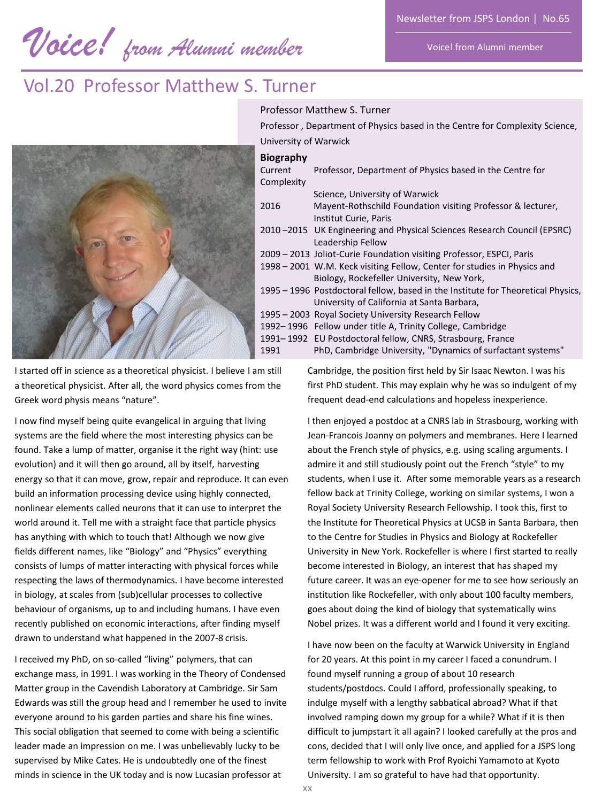*Voice! from Alumni member* 

Voice! from Alumni member

# Vol.20 Professor Matthew S. Turner



I started off in science as a theoretical physicist. I believe I am still a theoretical physicist. After all, the word physics comes from the Greek word physis means "nature".

I now find myself being quite evangelical in arguing that living systems are the field where the most interesting physics can be found. Take a lump of matter, organise it the right way (hint: use evolution) and it will then go around, all by itself, harvesting energy so that it can move, grow, repair and reproduce. It can even build an information processing device using highly connected, nonlinear elements called neurons that it can use to interpret the world around it. Tell me with a straight face that particle physics has anything with which to touch that! Although we now give fields different names, like "Biology" and "Physics" everything consists of lumps of matter interacting with physical forces while respecting the laws of thermodynamics. I have become interested in biology, at scales from (sub)cellular processes to collective behaviour of organisms, up to and including humans. I have even recently published on economic interactions, after finding myself drawn to understand what happened in the 2007-8 crisis.

I received my PhD, on so-called "living" polymers, that can exchange mass, in 1991. I was working in the Theory of Condensed Matter group in the Cavendish Laboratory at Cambridge. Sir Sam Edwards was still the group head and I remember he used to invite everyone around to his garden parties and share his fine wines. This social obligation that seemed to come with being a scientific leader made an impression on me. I was unbelievably lucky to be supervised by Mike Cates. He is undoubtedly one of the finest minds in science in the UK today and is now Lucasian professor at

#### Professor Matthew S. Turner

Professor , Department of Physics based in the Centre for Complexity Science, University of Warwick

### **Biography**

| --------   |                                                                                  |
|------------|----------------------------------------------------------------------------------|
| Current    | Professor, Department of Physics based in the Centre for                         |
| Complexity |                                                                                  |
|            | Science, University of Warwick                                                   |
| 2016       | Mayent-Rothschild Foundation visiting Professor & lecturer,                      |
|            | Institut Curie, Paris                                                            |
|            | 2010 -2015 UK Engineering and Physical Sciences Research Council (EPSRC)         |
|            | Leadership Fellow                                                                |
|            | 2009 - 2013 Joliot-Curie Foundation visiting Professor, ESPCI, Paris             |
|            | 1998 – 2001 W.M. Keck visiting Fellow, Center for studies in Physics and         |
|            | Biology, Rockefeller University, New York,                                       |
|            | 1995 – 1996 Postdoctoral fellow, based in the Institute for Theoretical Physics, |
|            | University of California at Santa Barbara,                                       |
|            | 1995 – 2003 Royal Society University Research Fellow                             |
|            | 1992–1996 Fellow under title A, Trinity College, Cambridge                       |
|            | 1991-1992 EU Postdoctoral fellow, CNRS, Strasbourg, France                       |
| 1991       | PhD, Cambridge University, "Dynamics of surfactant systems"                      |

Cambridge, the position first held by Sir Isaac Newton. I was his first PhD student. This may explain why he was so indulgent of my frequent dead-end calculations and hopeless inexperience.

I then enjoyed a postdoc at a CNRS lab in Strasbourg, working with Jean-Francois Joanny on polymers and membranes. Here I learned about the French style of physics, e.g. using scaling arguments. I admire it and still studiously point out the French "style" to my students, when I use it. After some memorable years as a research fellow back at Trinity College, working on similar systems, I won a Royal Society University Research Fellowship. I took this, first to the Institute for Theoretical Physics at UCSB in Santa Barbara, then to the Centre for Studies in Physics and Biology at Rockefeller University in New York. Rockefeller is where I first started to really become interested in Biology, an interest that has shaped my future career. It was an eye-opener for me to see how seriously an institution like Rockefeller, with only about 100 faculty members, goes about doing the kind of biology that systematically wins Nobel prizes. It was a different world and I found it very exciting.

I have now been on the faculty at Warwick University in England for 20 years. At this point in my career I faced a conundrum. I found myself running a group of about 10 research students/postdocs. Could I afford, professionally speaking, to indulge myself with a lengthy sabbatical abroad? What if that involved ramping down my group for a while? What if it is then difficult to jumpstart it all again? I looked carefully at the pros and cons, decided that I will only live once, and applied for a JSPS long term fellowship to work with Prof Ryoichi Yamamoto at Kyoto University. I am so grateful to have had that opportunity.